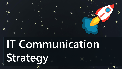# **IT Communication Strategy**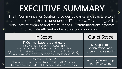## **EXECUTIVE SUMMARY**

The IT Communication Strategy provides guidance and structure to all communications that occur under the IT umbrella. This strategy will detail how to organize and structure the IT Communications program to facilitate efficient and effective communications.

| In Scope                                                                                                                                                                                                                                                                                          | Out of Scope                                                 |
|---------------------------------------------------------------------------------------------------------------------------------------------------------------------------------------------------------------------------------------------------------------------------------------------------|--------------------------------------------------------------|
| IT Communications to end-users<br>IT Transformation, IT Updates, IT Outage Reports<br>Messages delivered from the IT Communication Mailbox<br>Any communication that is delivered to end users from an IT authority figure<br>Any communication for a project or program managed through IT's PMO | Messages from<br>organizations and<br>groups that are not IT |
| Internal IT (IT to IT)                                                                                                                                                                                                                                                                            | Transactional message                                        |

Strategy and update communications | IT Portal and IT Portal News Enhancing opportunities for Collaboration within the IT Organization Transactional messages from IT personnel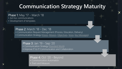### **Communication Strategy Maturity**

### Phase 1: May '17 - March '18

- Ad-hoc communications
- Development of templates

### Phase 2: March '18 - Dec '18

- Communication Request Management (Process, Education, Delivery)
- Communication Strategy [\(Vision, Mission,](#page-3-0) [Objectives,](#page-4-0) [Voice,](#page-5-0) [Key Messages](#page-9-0))

### Phase 3: Jan '19 - Sep '20

- Communication Strategy [\(Standard Work](#page-10-0))
- Improve IT to IT Communication and Collaboration

### Phase 4: Oct '20 - Beyond

- Communication Automation
- Track and Measure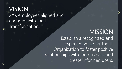### <span id="page-3-0"></span>VISION XXX employees aligned and engaged with the IT Transformation.

MISSION Establish a recognized and respected voice for the IT Organization to foster positive relationships with the business and create informed users.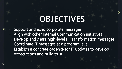## **OBJECTIVES**

- <span id="page-4-0"></span>• Support and echo corporate messages
- Align with other Internal Communication initiatives
- Develop and share high-level IT Transformation messages
- Coordinate IT messages at a program level
- Establish a concrete cadence for IT updates to develop expectations and build trust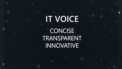## <span id="page-5-0"></span>**IT VOICE CONCISE** TRANSPARENT INNOVATIVE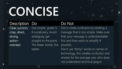## **CONCISE**

Description Do **Do Not** Clear, succinct, crisp, direct, strong, actionoriented

Use simple, grade 5- 8 vocabulary. Avoid ambiguity, get straight to the point. The fewer words, the better.

Don't create confusion by drafting a message that is too simple. Make sure that your message is understandable first and then work to simplify if possible.

Don't use "techy" words or names of technology, this creates confusion and anxiety for the average user who does not understand technical jargon.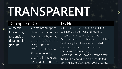# **TRANSPARENT**

### Description Do Do Not

Authentic, trustworthy, responsible, dependable, genuine

Create roadmaps to show where you have been and where you are going. Define the "Why" and the "What's in it for you." Provide detail by creating linkable and searchable resources.

Don't clutter your message with extra definition. Utilize FAQs and resource documentation to provide clarity. Don't promise things that you can't deliver. Work really hard to understand what is changing for the end user, and then communicate that clearly. Don't wait until you have all of the details, this can be viewed as hiding information. Communicate often about your progress.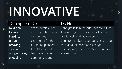# **INNOVATIVE**

### Description Do **Do Not**

Next gen, forward thinking, groundbreaking, creative, unique, novel, engaging

When possible, use messages that create wonder and excitement for the future. Be pioneers in the delivery and language of your communications.

Don't get lost in the quest for the future. Always tie your messages back to the tangible of what we can deliver. Don't forget about your audience. If you have an audience that is changeadverse, keep the innovative messaging to a minimum.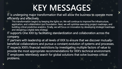## **KEY MESSAGES**

<span id="page-9-0"></span>IT is undergoing major transformation that will allow the business to operate more efficiently and effectively.

This transformation begins by keeping the lights on. We will continue to improve the infrastructure, application, and collaboration tool foundation. Next, we will optimize executing project roadmaps, and building critical predictive analytics. Finally, we will focus on innovation by developing strategic roadmaps and designing a digital data strategy.

IT supports One XXX by facilitating standardization and collaboration across the company.

IT partners with leadership at all levels of XXX to ensure that we discover mutuallybeneficial collaborations and pursue a constant evolution of systems and processes. IT respects XXX's financial restrictions by investigating multiple factors of value to provide the most appropriate recommendations for XXX's technical environment. IT employees relentlessly search for global solutions that solve business critical problems.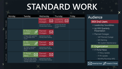## **STANDARD WORK**

<span id="page-10-0"></span>

|             | Monday                                                      | Tuesday                                                                    | Wednesday                                                | Thursday                                         | Friday |
|-------------|-------------------------------------------------------------|----------------------------------------------------------------------------|----------------------------------------------------------|--------------------------------------------------|--------|
| First week  |                                                             |                                                                            | Planned<br>$\boxtimes$<br>Outages<br>Submissions due the | Leadership<br>Soundbites<br>Content due the last |        |
|             |                                                             |                                                                            | Monday before delivery                                   | Monday of previous<br>month                      |        |
|             |                                                             | <b>IT Policy</b><br>$\mathscr{E}$<br>Update                                | Planned<br>Outages                                       |                                                  |        |
| Second Week | IT Policy draft submitted<br>first Thursday of the<br>month | Submissions due the<br>Monday before delivery                              |                                                          |                                                  |        |
| Third week  | <b>IT PD</b><br>t Q<br>Update                               | Planned<br>Outages                                                         |                                                          |                                                  |        |
|             | PD Metrics submitted<br>fifteenth day of the<br>month       | Submissions due the<br>Monday before delivery                              |                                                          |                                                  |        |
| Fourth week |                                                             | <b>IT Portal</b><br><b>News</b>                                            | Planned<br>Outages                                       |                                                  |        |
|             |                                                             | Shares SP news articles<br>submitted before fourth<br>Tuesday of the month | Submissions due the<br>Monday before delivery            |                                                  |        |

### Audience

### XXX End Users

- Leadership Soundbites
- (q) XXX Quarterly Presentation
- Planned Outages
	- ‐ SAP Planned Outage
	- ‐ MS Patching
	- ‐ TAS System Maintenance

### IT Organization

- IT Portal News
	- ‐ IT Policy Update
	- ‐ IT PD Update
	- ‐ Monthly Roundup (MS)

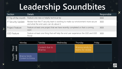## **Leadership Soundbites**

| Section                   | <b>Details</b>                                                                                                           | Responsible |
|---------------------------|--------------------------------------------------------------------------------------------------------------------------|-------------|
| IT Tip of the month       | Feature one new or helpful technical tip                                                                                 | XXXI        |
| <b>IT Security Update</b> | Review how the IT security team is working to make our environment more secure<br>and what the end users can do about it | XXX         |
| <b>Project Feature</b>    | Feature at least one project that we have recently completed or that is coming<br>soon                                   | XXX I       |
| <b>GSD</b> Feature        | Feature at least one thing that will help the end user experience the GSD and GSD<br>Portal                              | XXX         |

|                | Monday                           | Tuesday                          | Wednesday | Thursday                             | Friday |
|----------------|----------------------------------|----------------------------------|-----------|--------------------------------------|--------|
| Third<br>week  |                                  | Content due to<br><b>Brianna</b> |           | Brianna sends to<br>teams for review |        |
| Fourth<br>week | Brianna Sends<br>Content to Emma |                                  |           |                                      |        |

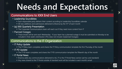## **Needs and Expectations**

### Communications to XXX End Users

- Leadership Soundbites
	- Each responsible party delivers their content according to Leadership Soundbites calendar
	- $\blacksquare$  All new additions and submissions delivered to Brianna by the 15<sup>th</sup> of each month
- (q) XXX Quarterly Presentation
	- **.** The Corporate Communications team will reach out if they need more content from IT
- Planned Outages
	- These emails will be sent each Wednesday If your team has a planned outage it must be submitted on Monday to be included in that week's distribution (This does not include Unplanned Outages)

### Communications to the IT Organization

- IT Policy Update
	- The IT Policy team completes and shares the IT Policy communication template the first Thursday of the month
- IT PD Update
	- The IT PD team completes and shares the IT PD communication template the fifteenth day of the month
- IT Portal News
	- Brianna adds any communications delivered to ALL IT to the IT Portal News section (ad hoc and standard)
	- Any news shared to the IT Portal outside of standard work will be included in each month's email